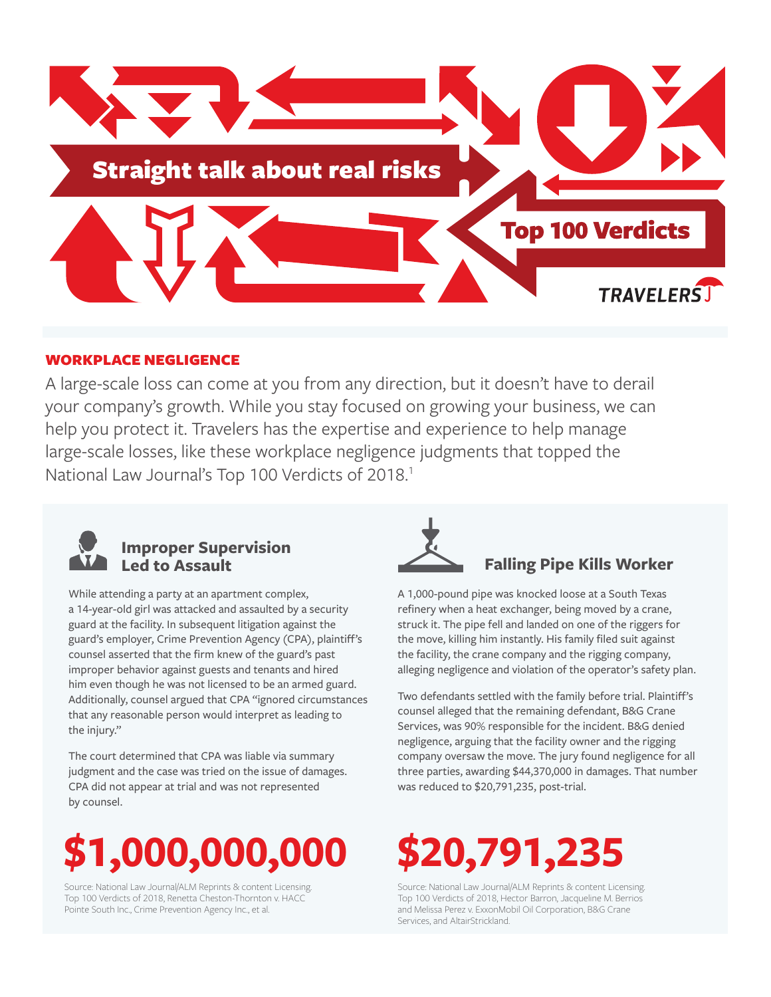

### WORKPLACE NEGLIGENCE

A large-scale loss can come at you from any direction, but it doesn't have to derail your company's growth. While you stay focused on growing your business, we can help you protect it. Travelers has the expertise and experience to help manage large-scale losses, like these workplace negligence judgments that topped the National Law Journal's Top 100 Verdicts of 2018.<sup>1</sup>



## **Improper Supervision**

While attending a party at an apartment complex, a 14-year-old girl was attacked and assaulted by a security guard at the facility. In subsequent litigation against the guard's employer, Crime Prevention Agency (CPA), plaintiff's counsel asserted that the firm knew of the guard's past improper behavior against guests and tenants and hired him even though he was not licensed to be an armed guard. Additionally, counsel argued that CPA "ignored circumstances that any reasonable person would interpret as leading to the injury."

The court determined that CPA was liable via summary judgment and the case was tried on the issue of damages. CPA did not appear at trial and was not represented by counsel.



Source: National Law Journal/ALM Reprints & content Licensing. Top 100 Verdicts of 2018, Renetta Cheston-Thornton v. HACC Pointe South Inc., Crime Prevention Agency Inc., et al.



### **Falling Pipe Kills Worker**

A 1,000-pound pipe was knocked loose at a South Texas refinery when a heat exchanger, being moved by a crane, struck it. The pipe fell and landed on one of the riggers for the move, killing him instantly. His family filed suit against the facility, the crane company and the rigging company, alleging negligence and violation of the operator's safety plan.

Two defendants settled with the family before trial. Plaintiff's counsel alleged that the remaining defendant, B&G Crane Services, was 90% responsible for the incident. B&G denied negligence, arguing that the facility owner and the rigging company oversaw the move. The jury found negligence for all three parties, awarding \$44,370,000 in damages. That number was reduced to \$20,791,235, post-trial.

# **\$20,791,235**

Source: National Law Journal/ALM Reprints & content Licensing. Top 100 Verdicts of 2018, Hector Barron, Jacqueline M. Berrios and Melissa Perez v. ExxonMobil Oil Corporation, B&G Crane Services, and AltairStrickland.